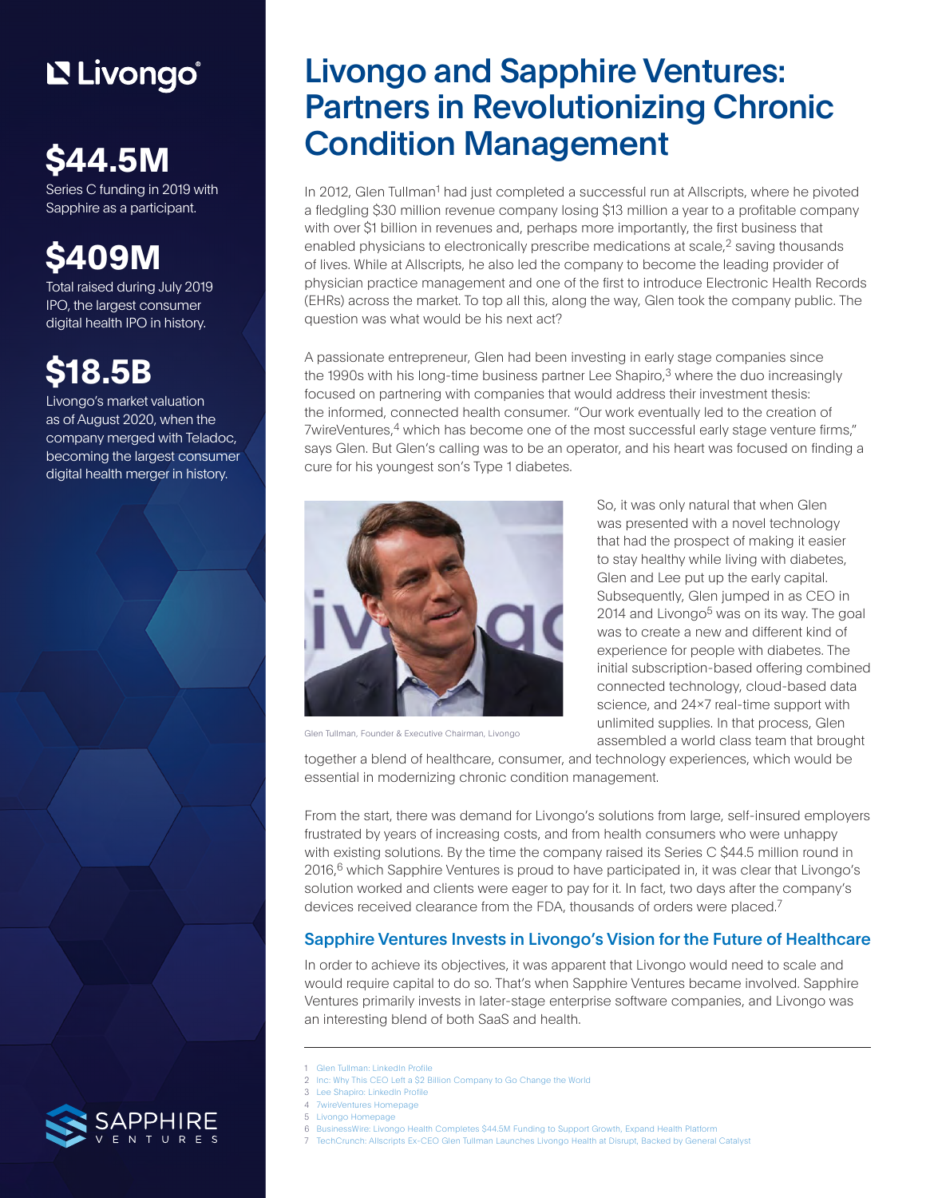# L'Elivongo®

# **\$44.5M**

Series C funding in 2019 with Sapphire as a participant.

# **\$409M**

Total raised during July 2019 IPO, the largest consumer digital health IPO in history.

## **\$18.5B**

Livongo's market valuation as of August 2020, when the company merged with Teladoc, becoming the largest consumer digital health merger in history.

### Livongo and Sapphire Ventures: Partners in Revolutionizing Chronic Condition Management

In 2012, Glen Tullman<sup>1</sup> had just completed a successful run at Allscripts, where he pivoted a fledgling \$30 million revenue company losing \$13 million a year to a profitable company with over \$1 billion in revenues and, perhaps more importantly, the first business that enabled physicians to electronically prescribe medications at scale, $<sup>2</sup>$  saving thousands</sup> of lives. While at Allscripts, he also led the company to become the leading provider of physician practice management and one of the first to introduce Electronic Health Records (EHRs) across the market. To top all this, along the way, Glen took the company public. The question was what would be his next act?

A passionate entrepreneur, Glen had been investing in early stage companies since the 1990s with his long-time business partner Lee Shapiro, $3$  where the duo increasingly focused on partnering with companies that would address their investment thesis: the informed, connected health consumer. "Our work eventually led to the creation of 7wireVentures,<sup>4</sup> which has become one of the most successful early stage venture firms," says Glen. But Glen's calling was to be an operator, and his heart was focused on finding a cure for his youngest son's Type 1 diabetes.



Glen Tullman, Founder & Executive Chairman, Livongo

So, it was only natural that when Glen was presented with a novel technology that had the prospect of making it easier to stay healthy while living with diabetes, Glen and Lee put up the early capital. Subsequently, Glen jumped in as CEO in 2014 and Livongo $5$  was on its way. The goal was to create a new and different kind of experience for people with diabetes. The initial subscription-based offering combined connected technology, cloud-based data science, and 24x7 real-time support with unlimited supplies. In that process, Glen assembled a world class team that brought

together a blend of healthcare, consumer, and technology experiences, which would be essential in modernizing chronic condition management.

From the start, there was demand for Livongo's solutions from large, self-insured employers frustrated by years of increasing costs, and from health consumers who were unhappy with existing solutions. By the time the company raised its Series C \$44.5 million round in  $2016<sup>6</sup>$  which Sapphire Ventures is proud to have participated in, it was clear that Livongo's solution worked and clients were eager to pay for it. In fact, two days after the company's devices received clearance from the FDA, thousands of orders were placed.<sup>7</sup>

### Sapphire Ventures Invests in Livongo's Vision for the Future of Healthcare

In order to achieve its objectives, it was apparent that Livongo would need to scale and would require capital to do so. That's when Sapphire Ventures became involved. Sapphire Ventures primarily invests in later-stage enterprise software companies, and Livongo was an interesting blend of both SaaS and health.

- 1 [Glen Tullman: LinkedIn Profile](https://www.linkedin.com/in/glen-tullman-76108566/)
- 2 [Inc: Why This CEO Left a \\$2 Billion Company to Go Change the World](https://www.inc.com/magazine/201512/bill-saporito/how-glen-tullman-of-livongo-health-aims-to-change-the-world.html)
- 3 [Lee Shapiro: LinkedIn Profile](https://www.linkedin.com/in/leeshapiro/)
- 4 [7wireVentures Homepage](https://www.7wireventures.com/)
- 5 [Livongo Homepage](https://www2.livongo.com/)
- 
- 6 [BusinessWire: Livongo Health Completes \\$44.5M Funding to Support Growth, Expand Health Platform](https://www.businesswire.com/news/home/20160412005276/en/Livongo-Health-Completes-44.5M-Funding-Support-Growth)
- 7 [TechCrunch: Allscripts Ex-CEO Glen Tullman Launches Livongo Health at Disrupt, Backed by General Catalyst](https://techcrunch.com/2014/09/10/allscripts-founder-glen-tullman-launches-livongo-health-at-disrupt-backed-by-general-catalyst/)

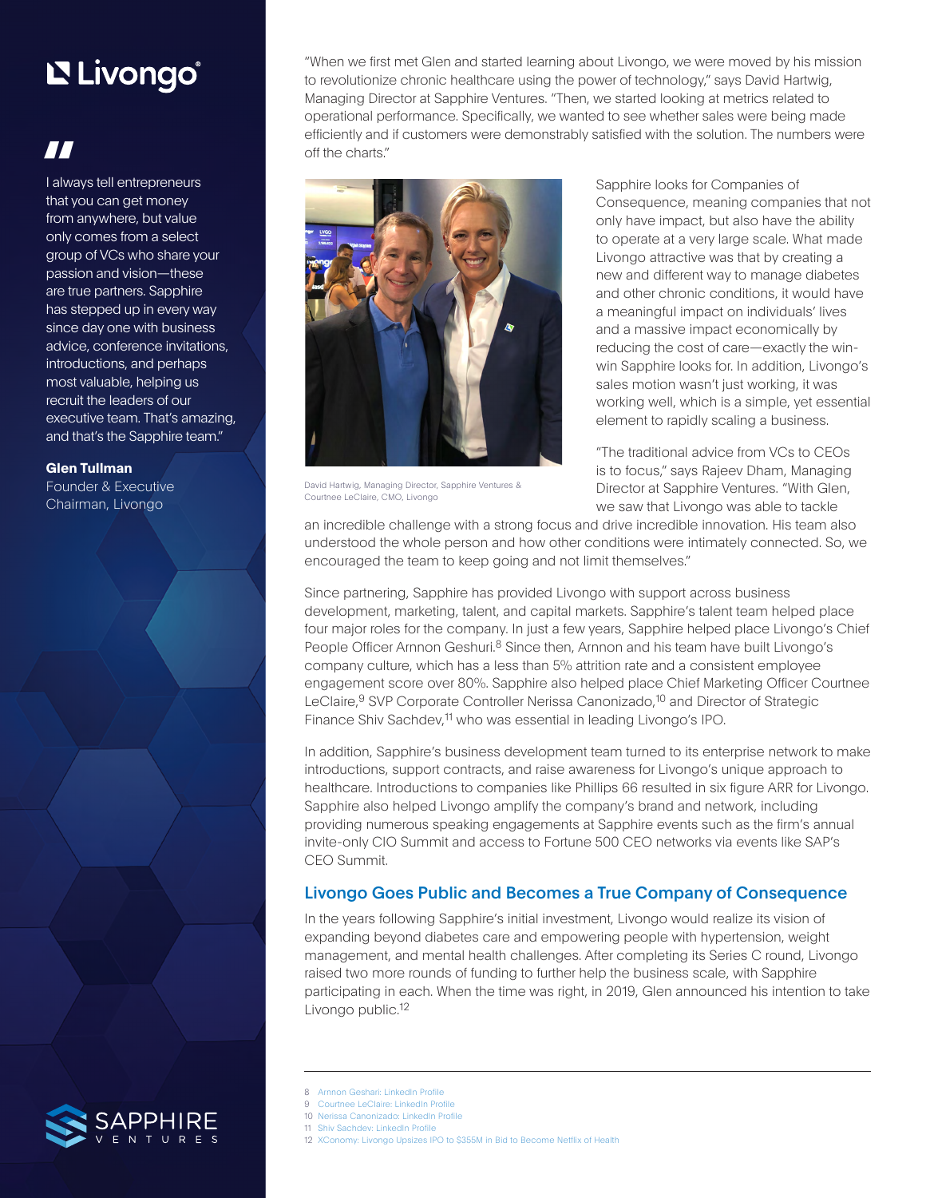## L'Elivongo®

### **"**

I always tell entrepreneurs that you can get money from anywhere, but value only comes from a select group of VCs who share your passion and vision—these are true partners. Sapphire has stepped up in every way since day one with business advice, conference invitations, introductions, and perhaps most valuable, helping us recruit the leaders of our executive team. That's amazing, and that's the Sapphire team."

#### **[Glen Tullman](https://www.linkedin.com/in/glen-tullman-76108566/)**

Founder & Executive Chairman, Livongo

"When we first met Glen and started learning about Livongo, we were moved by his mission to revolutionize chronic healthcare using the power of technology," says David Hartwig, Managing Director at Sapphire Ventures. "Then, we started looking at metrics related to operational performance. Specifically, we wanted to see whether sales were being made efficiently and if customers were demonstrably satisfied with the solution. The numbers were off the charts."



David Hartwig, Managing Director, Sapphire Ventures & Courtnee LeClaire, CMO, Livongo

Sapphire looks for Companies of Consequence, meaning companies that not only have impact, but also have the ability to operate at a very large scale. What made Livongo attractive was that by creating a new and different way to manage diabetes and other chronic conditions, it would have a meaningful impact on individuals' lives and a massive impact economically by reducing the cost of care—exactly the winwin Sapphire looks for. In addition, Livongo's sales motion wasn't just working, it was working well, which is a simple, yet essential element to rapidly scaling a business.

"The traditional advice from VCs to CEOs is to focus," says Rajeev Dham, Managing Director at Sapphire Ventures. "With Glen, we saw that Livongo was able to tackle

an incredible challenge with a strong focus and drive incredible innovation. His team also understood the whole person and how other conditions were intimately connected. So, we encouraged the team to keep going and not limit themselves."

Since partnering, Sapphire has provided Livongo with support across business development, marketing, talent, and capital markets. Sapphire's talent team helped place four major roles for the company. In just a few years, Sapphire helped place Livongo's Chief People Officer Arnnon Geshuri.<sup>8</sup> Since then, Arnnon and his team have built Livongo's company culture, which has a less than 5% attrition rate and a consistent employee engagement score over 80%. Sapphire also helped place Chief Marketing Officer Courtnee LeClaire,<sup>9</sup> SVP Corporate Controller Nerissa Canonizado,<sup>10</sup> and Director of Strategic Finance Shiv Sachdev,<sup>11</sup> who was essential in leading Livongo's IPO.

In addition, Sapphire's business development team turned to its enterprise network to make introductions, support contracts, and raise awareness for Livongo's unique approach to healthcare. Introductions to companies like Phillips 66 resulted in six figure ARR for Livongo. Sapphire also helped Livongo amplify the company's brand and network, including providing numerous speaking engagements at Sapphire events such as the firm's annual invite-only CIO Summit and access to Fortune 500 CEO networks via events like SAP's CEO Summit.

### Livongo Goes Public and Becomes a True Company of Consequence

In the years following Sapphire's initial investment, Livongo would realize its vision of expanding beyond diabetes care and empowering people with hypertension, weight management, and mental health challenges. After completing its Series C round, Livongo raised two more rounds of funding to further help the business scale, with Sapphire participating in each. When the time was right, in 2019, Glen announced his intention to take Livongo public.<sup>12</sup>

- 
- 8 [Arnnon Geshari: LinkedIn Profile](https://www.linkedin.com/in/arnnongeshuri/)
- 9 [Courtnee LeClaire: LinkedIn Profile](https://www.linkedin.com/in/courtneeleclairewestendorf/)
- 10 [Nerissa Canonizado: LinkedIn Profile](https://www.linkedin.com/in/nerissa-c-b53236/)
- 11 [Shiv Sachdev: LinkedIn Profile](https://www.linkedin.com/in/shiv-sachdev-a97b2517/)
- 12 [XConomy: Livongo Upsizes IPO to \\$355M in Bid to Become Netflix of Health](https://xconomy.com/san-francisco/2019/07/24/livongo-upsizes-ipo-to-355m-in-bid-to-become-netflix-of-health/)